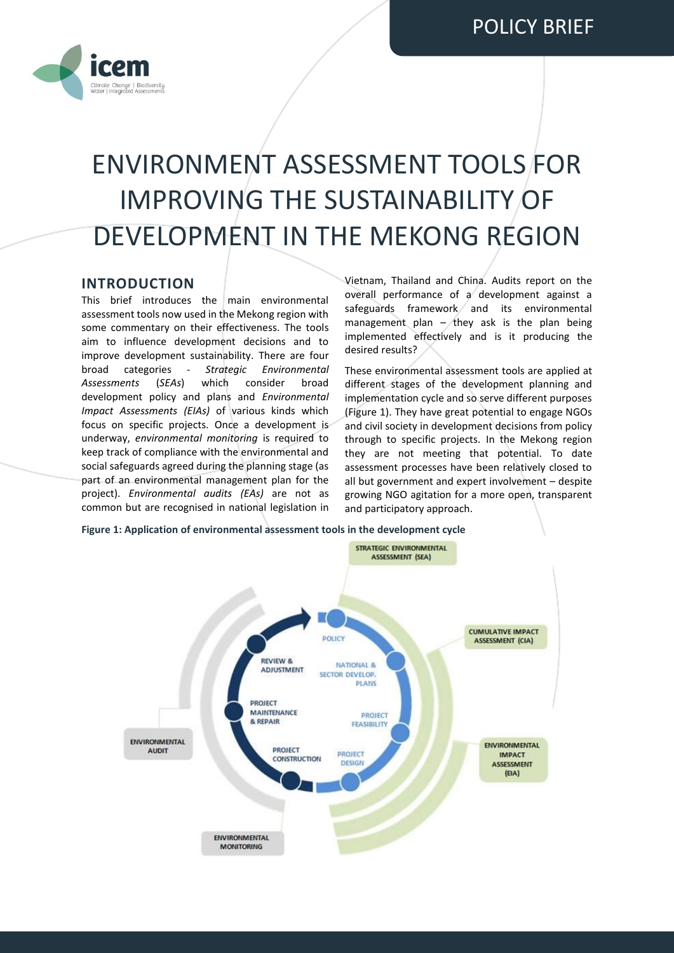

# ENVIRONMENT ASSESSMENT TOOLS FOR IMPROVING THE SUSTAINABILITY OF DEVELOPMENT IN THE MEKONG REGION

## **INTRODUCTION**

This brief introduces the main environmental assessment tools now used in the Mekong region with some commentary on their effectiveness. The tools aim to influence development decisions and to improve development sustainability. There are four broad categories - *Strategic Environmental Assessments* (*SEAs*) which consider broad development policy and plans and *Environmental Impact Assessments (EIAs)* of various kinds which focus on specific projects. Once a development is underway, *environmental monitoring* is required to keep track of compliance with the environmental and social safeguards agreed during the planning stage (as part of an environmental management plan for the project). *Environmental audits (EAs)* are not as common but are recognised in national legislation in

Vietnam, Thailand and China. Audits report on the overall performance of a development against a safeguards framework and its environmental management plan  $-$  they ask is the plan being implemented effectively and is it producing the desired results?

These environmental assessment tools are applied at different stages of the development planning and implementation cycle and so serve different purposes (Figure 1). They have great potential to engage NGOs and civil society in development decisions from policy through to specific projects. In the Mekong region they are not meeting that potential. To date assessment processes have been relatively closed to all but government and expert involvement – despite growing NGO agitation for a more open, transparent and participatory approach.

**Figure 1: Application of environmental assessment tools in the development cycle**

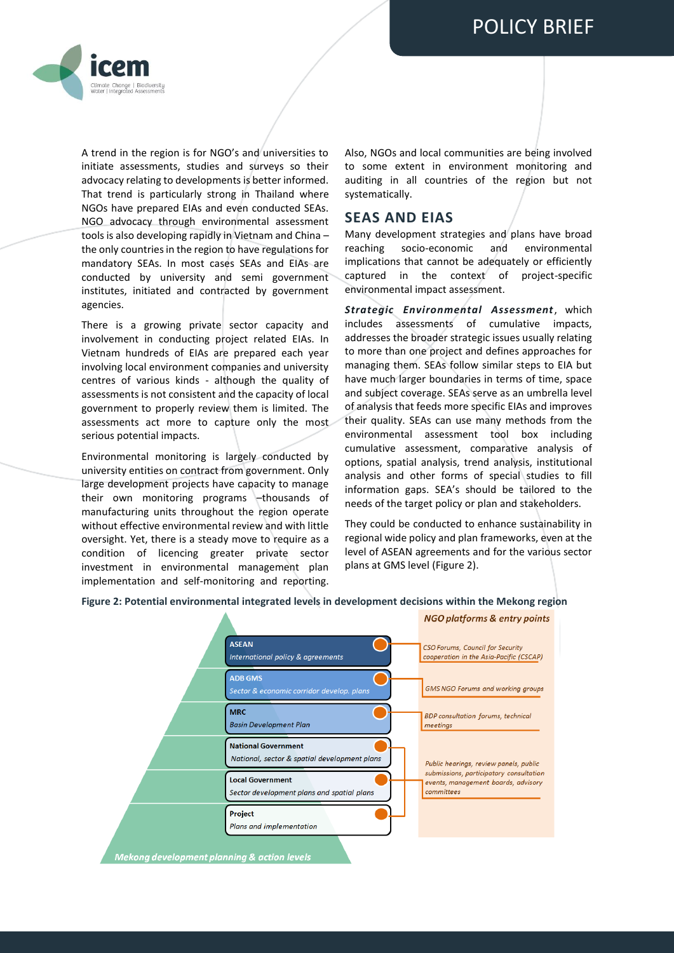

A trend in the region is for NGO's and universities to initiate assessments, studies and surveys so their advocacy relating to developments is better informed. That trend is particularly strong in Thailand where NGOs have prepared EIAs and even conducted SEAs. NGO advocacy through environmental assessment tools is also developing rapidly in Vietnam and China – the only countries in the region to have regulations for mandatory SEAs. In most cases SEAs and EIAs are conducted by university and semi government institutes, initiated and contracted by government agencies.

There is a growing private sector capacity and involvement in conducting project related EIAs. In Vietnam hundreds of EIAs are prepared each year involving local environment companies and university centres of various kinds - although the quality of assessments is not consistent and the capacity of local government to properly review them is limited. The assessments act more to capture only the most serious potential impacts.

Environmental monitoring is largely conducted by university entities on contract from government. Only large development projects have capacity to manage their own monitoring programs –thousands of manufacturing units throughout the region operate without effective environmental review and with little oversight. Yet, there is a steady move to require as a condition of licencing greater private sector investment in environmental management plan implementation and self-monitoring and reporting.

Also, NGOs and local communities are being involved to some extent in environment monitoring and auditing in all countries of the region but not systematically.

## **SEAS AND EIAS**

Many development strategies and plans have broad reaching socio-economic and environmental implications that cannot be adequately or efficiently captured in the context of project-specific environmental impact assessment.

*Strategic Environmental Assessment*, which includes assessments of cumulative impacts, addresses the broader strategic issues usually relating to more than one project and defines approaches for managing them. SEAs follow similar steps to EIA but have much larger boundaries in terms of time, space and subject coverage. SEAs serve as an umbrella level of analysis that feeds more specific EIAs and improves their quality. SEAs can use many methods from the environmental assessment tool box including cumulative assessment, comparative analysis of options, spatial analysis, trend analysis, institutional analysis and other forms of special studies to fill information gaps. SEA's should be tailored to the needs of the target policy or plan and stakeholders.

They could be conducted to enhance sustainability in regional wide policy and plan frameworks, even at the level of ASEAN agreements and for the various sector plans at GMS level (Figure 2).

#### **Figure 2: Potential environmental integrated levels in development decisions within the Mekong region**

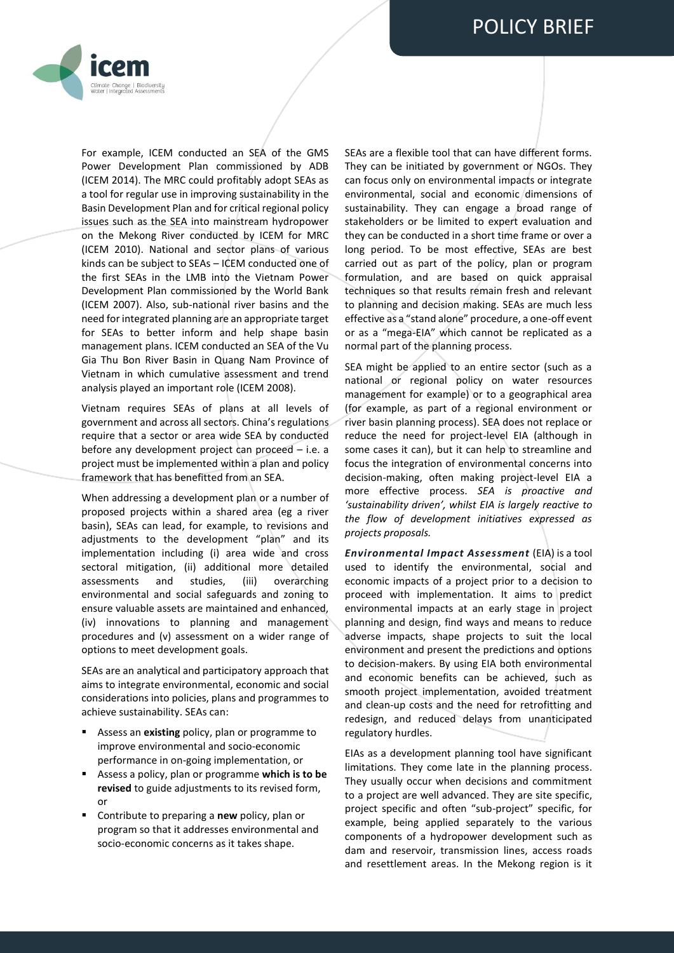

For example, ICEM conducted an SEA of the GMS Power Development Plan commissioned by ADB (ICEM 2014). The MRC could profitably adopt SEAs as a tool for regular use in improving sustainability in the Basin Development Plan and for critical regional policy issues such as the SEA into mainstream hydropower on the Mekong River conducted by ICEM for MRC (ICEM 2010). National and sector plans of various kinds can be subject to SEAs – ICEM conducted one of the first SEAs in the LMB into the Vietnam Power Development Plan commissioned by the World Bank (ICEM 2007). Also, sub-national river basins and the need for integrated planning are an appropriate target for SEAs to better inform and help shape basin management plans. ICEM conducted an SEA of the Vu Gia Thu Bon River Basin in Quang Nam Province of Vietnam in which cumulative assessment and trend analysis played an important role (ICEM 2008).

Vietnam requires SEAs of plans at all levels of government and across all sectors. China's regulations require that a sector or area wide SEA by conducted before any development project can proceed – i.e. a project must be implemented within a plan and policy framework that has benefitted from an SEA.

When addressing a development plan or a number of proposed projects within a shared area (eg a river basin), SEAs can lead, for example, to revisions and adjustments to the development "plan" and its implementation including (i) area wide and cross sectoral mitigation, (ii) additional more detailed assessments and studies, (iii) overarching environmental and social safeguards and zoning to ensure valuable assets are maintained and enhanced, (iv) innovations to planning and management procedures and (v) assessment on a wider range of options to meet development goals.

SEAs are an analytical and participatory approach that aims to integrate environmental, economic and social considerations into policies, plans and programmes to achieve sustainability. SEAs can:

- Assess an **existing** policy, plan or programme to improve environmental and socio-economic performance in on-going implementation, or
- Assess a policy, plan or programme **which is to be revised** to guide adjustments to its revised form, or
- Contribute to preparing a **new** policy, plan or program so that it addresses environmental and socio-economic concerns as it takes shape.

SEAs are a flexible tool that can have different forms. They can be initiated by government or NGOs. They can focus only on environmental impacts or integrate environmental, social and economic dimensions of sustainability. They can engage a broad range of stakeholders or be limited to expert evaluation and they can be conducted in a short time frame or over a long period. To be most effective, SEAs are best carried out as part of the policy, plan or program formulation, and are based on quick appraisal techniques so that results remain fresh and relevant to planning and decision making. SEAs are much less effective as a "stand alone" procedure, a one-off event or as a "mega-EIA" which cannot be replicated as a normal part of the planning process.

SEA might be applied to an entire sector (such as a national or regional policy on water resources management for example) or to a geographical area (for example, as part of a regional environment or river basin planning process). SEA does not replace or reduce the need for project-level EIA (although in some cases it can), but it can help to streamline and focus the integration of environmental concerns into decision-making, often making project-level EIA a more effective process. *SEA is proactive and 'sustainability driven', whilst EIA is largely reactive to the flow of development initiatives expressed as projects proposals.*

*Environmental Impact Assessment* (EIA) is a tool used to identify the environmental, social and economic impacts of a project prior to a decision to proceed with implementation. It aims to predict environmental impacts at an early stage in project planning and design, find ways and means to reduce adverse impacts, shape projects to suit the local environment and present the predictions and options to decision-makers. By using EIA both environmental and economic benefits can be achieved, such as smooth project implementation, avoided treatment and clean-up costs and the need for retrofitting and redesign, and reduced delays from unanticipated regulatory hurdles.

EIAs as a development planning tool have significant limitations. They come late in the planning process. They usually occur when decisions and commitment to a project are well advanced. They are site specific, project specific and often "sub-project" specific, for example, being applied separately to the various components of a hydropower development such as dam and reservoir, transmission lines, access roads and resettlement areas. In the Mekong region is it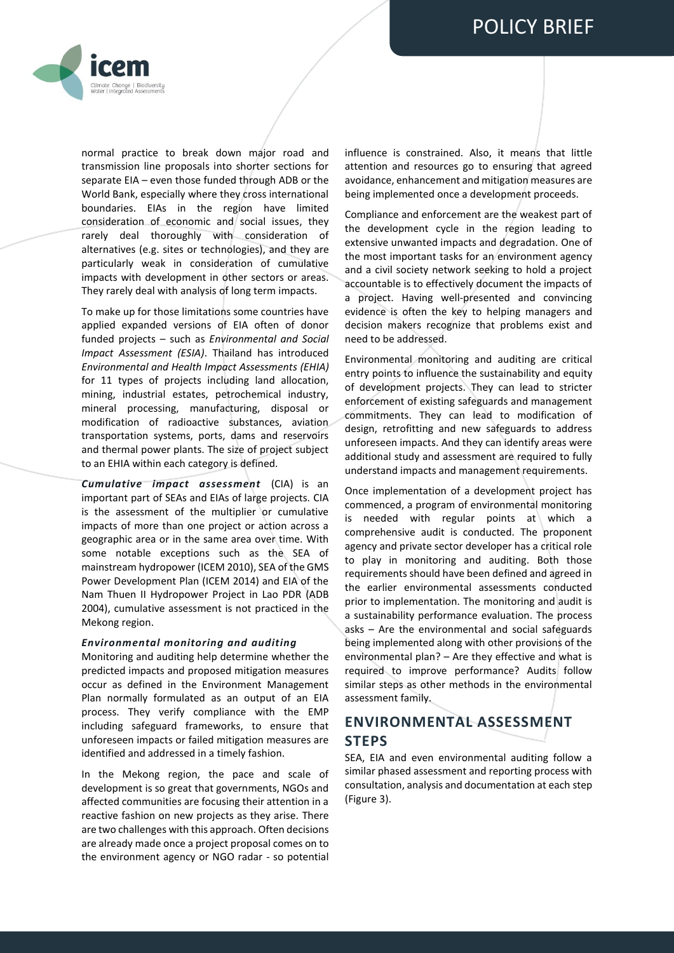

normal practice to break down major road and transmission line proposals into shorter sections for separate EIA – even those funded through ADB or the World Bank, especially where they cross international boundaries. EIAs in the region have limited consideration of economic and social issues, they rarely deal thoroughly with consideration of alternatives (e.g. sites or technologies), and they are particularly weak in consideration of cumulative impacts with development in other sectors or areas. They rarely deal with analysis of long term impacts.

To make up for those limitations some countries have applied expanded versions of EIA often of donor funded projects – such as *Environmental and Social Impact Assessment (ESIA)*. Thailand has introduced *Environmental and Health Impact Assessments (EHIA)*  for 11 types of projects including land allocation, mining, industrial estates, petrochemical industry, mineral processing, manufacturing, disposal or modification of radioactive substances, aviation transportation systems, ports, dams and reservoirs and thermal power plants. The size of project subject to an EHIA within each category is defined.

*Cumulative impact assessment* (CIA) is an important part of SEAs and EIAs of large projects. CIA is the assessment of the multiplier or cumulative impacts of more than one project or action across a geographic area or in the same area over time. With some notable exceptions such as the SEA of mainstream hydropower (ICEM 2010), SEA of the GMS Power Development Plan (ICEM 2014) and EIA of the Nam Thuen II Hydropower Project in Lao PDR (ADB 2004), cumulative assessment is not practiced in the Mekong region.

#### *Environmental monitoring and auditing*

Monitoring and auditing help determine whether the predicted impacts and proposed mitigation measures occur as defined in the Environment Management Plan normally formulated as an output of an EIA process. They verify compliance with the EMP including safeguard frameworks, to ensure that unforeseen impacts or failed mitigation measures are identified and addressed in a timely fashion.

In the Mekong region, the pace and scale of development is so great that governments, NGOs and affected communities are focusing their attention in a reactive fashion on new projects as they arise. There are two challenges with this approach. Often decisions are already made once a project proposal comes on to the environment agency or NGO radar - so potential influence is constrained. Also, it means that little attention and resources go to ensuring that agreed avoidance, enhancement and mitigation measures are being implemented once a development proceeds.

Compliance and enforcement are the weakest part of the development cycle in the region leading to extensive unwanted impacts and degradation. One of the most important tasks for an environment agency and a civil society network seeking to hold a project accountable is to effectively document the impacts of a project. Having well-presented and convincing evidence is often the key to helping managers and decision makers recognize that problems exist and need to be addressed.

Environmental monitoring and auditing are critical entry points to influence the sustainability and equity of development projects. They can lead to stricter enforcement of existing safeguards and management commitments. They can lead to modification of design, retrofitting and new safeguards to address unforeseen impacts. And they can identify areas were additional study and assessment are required to fully understand impacts and management requirements.

Once implementation of a development project has commenced, a program of environmental monitoring is needed with regular points at which a comprehensive audit is conducted. The proponent agency and private sector developer has a critical role to play in monitoring and auditing. Both those requirements should have been defined and agreed in the earlier environmental assessments conducted prior to implementation. The monitoring and audit is a sustainability performance evaluation. The process asks – Are the environmental and social safeguards being implemented along with other provisions of the environmental plan? – Are they effective and what is required to improve performance? Audits follow similar steps as other methods in the environmental assessment family.

# **ENVIRONMENTAL ASSESSMENT STEPS**

SEA, EIA and even environmental auditing follow a similar phased assessment and reporting process with consultation, analysis and documentation at each step (Figure 3).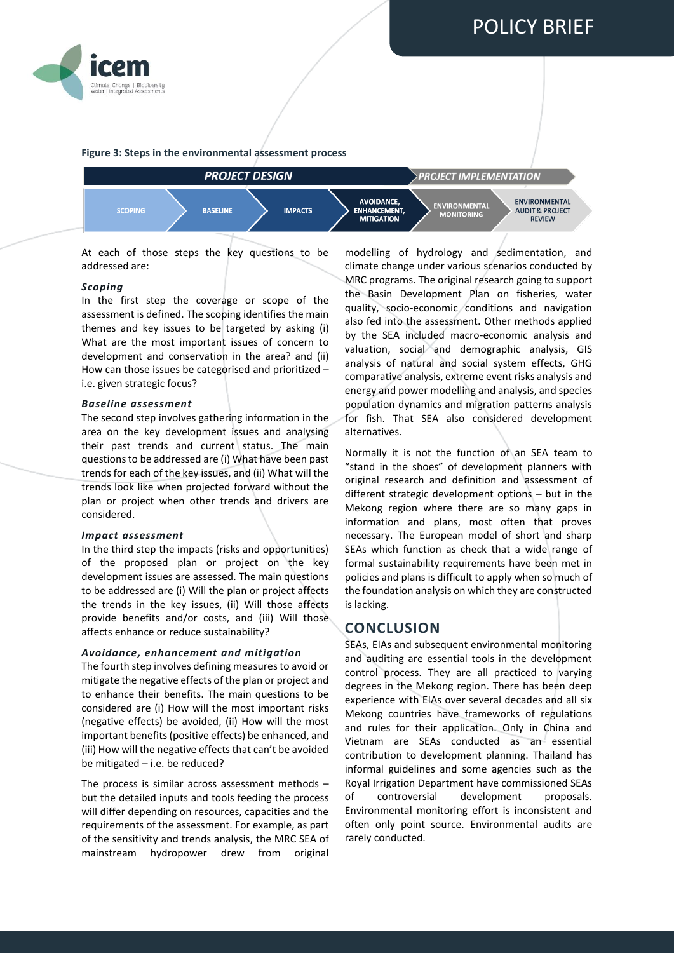



#### **Figure 3: Steps in the environmental assessment process**



At each of those steps the key questions to be addressed are:

#### *Scoping*

In the first step the coverage or scope of the assessment is defined. The scoping identifies the main themes and key issues to be targeted by asking  $(i)$ What are the most important issues of concern to development and conservation in the area? and (ii) How can those issues be categorised and prioritized – i.e. given strategic focus?

#### *Baseline assessment*

The second step involves gathering information in the area on the key development issues and analysing their past trends and current status. The main questions to be addressed are (i) What have been past trends for each of the key issues, and (ii) What will the trends look like when projected forward without the plan or project when other trends and drivers are considered.

#### *Impact assessment*

In the third step the impacts (risks and opportunities) of the proposed plan or project on the key development issues are assessed. The main questions to be addressed are (i) Will the plan or project affects the trends in the key issues, (ii) Will those affects provide benefits and/or costs, and (iii) Will those affects enhance or reduce sustainability?

#### *Avoidance, enhancement and mitigation*

The fourth step involves defining measures to avoid or mitigate the negative effects of the plan or project and to enhance their benefits. The main questions to be considered are (i) How will the most important risks (negative effects) be avoided, (ii) How will the most important benefits(positive effects) be enhanced, and (iii) How will the negative effects that can't be avoided be mitigated – i.e. be reduced?

The process is similar across assessment methods – but the detailed inputs and tools feeding the process will differ depending on resources, capacities and the requirements of the assessment. For example, as part of the sensitivity and trends analysis, the MRC SEA of mainstream hydropower drew from original

modelling of hydrology and sedimentation, and climate change under various scenarios conducted by MRC programs. The original research going to support the Basin Development Plan on fisheries, water quality, socio-economic conditions and navigation also fed into the assessment. Other methods applied by the SEA included macro-economic analysis and valuation, social and demographic analysis, GIS analysis of natural and social system effects, GHG comparative analysis, extreme event risks analysis and energy and power modelling and analysis, and species population dynamics and migration patterns analysis for fish. That SEA also considered development alternatives.

Normally it is not the function of an SEA team to "stand in the shoes" of development planners with original research and definition and assessment of different strategic development options – but in the Mekong region where there are so many gaps in information and plans, most often that proves necessary. The European model of short and sharp SEAs which function as check that a wide range of formal sustainability requirements have been met in policies and plans is difficult to apply when so much of the foundation analysis on which they are constructed is lacking.

# **CONCLUSION**

SEAs, EIAs and subsequent environmental monitoring and auditing are essential tools in the development control process. They are all practiced to varying degrees in the Mekong region. There has been deep experience with EIAs over several decades and all six Mekong countries have frameworks of regulations and rules for their application. Only in China and Vietnam are SEAs conducted as an essential contribution to development planning. Thailand has informal guidelines and some agencies such as the Royal Irrigation Department have commissioned SEAs of controversial development proposals. Environmental monitoring effort is inconsistent and often only point source. Environmental audits are rarely conducted.